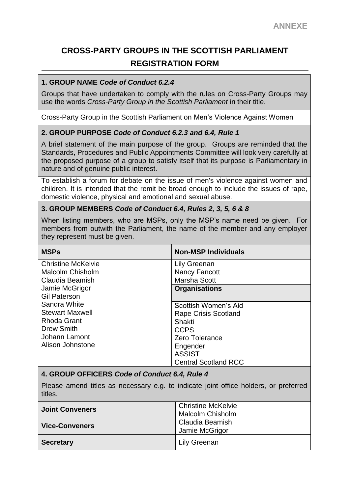# **CROSS-PARTY GROUPS IN THE SCOTTISH PARLIAMENT REGISTRATION FORM**

## **1. GROUP NAME** *Code of Conduct 6.2.4*

Groups that have undertaken to comply with the rules on Cross-Party Groups may use the words *Cross-Party Group in the Scottish Parliament* in their title.

Cross-Party Group in the Scottish Parliament on Men's Violence Against Women

## **2. GROUP PURPOSE** *Code of Conduct 6.2.3 and 6.4, Rule 1*

A brief statement of the main purpose of the group. Groups are reminded that the Standards, Procedures and Public Appointments Committee will look very carefully at the proposed purpose of a group to satisfy itself that its purpose is Parliamentary in nature and of genuine public interest.

To establish a forum for debate on the issue of men's violence against women and children. It is intended that the remit be broad enough to include the issues of rape, domestic violence, physical and emotional and sexual abuse.

#### **3. GROUP MEMBERS** *Code of Conduct 6.4, Rules 2, 3, 5, 6 & 8*

When listing members, who are MSPs, only the MSP's name need be given. For members from outwith the Parliament, the name of the member and any employer they represent must be given.

| <b>MSPs</b>               | <b>Non-MSP Individuals</b>  |
|---------------------------|-----------------------------|
| <b>Christine McKelvie</b> | Lily Greenan                |
| <b>Malcolm Chisholm</b>   | <b>Nancy Fancott</b>        |
| Claudia Beamish           | Marsha Scott                |
| Jamie McGrigor            | <b>Organisations</b>        |
| <b>Gil Paterson</b>       |                             |
| Sandra White              | Scottish Women's Aid        |
| <b>Stewart Maxwell</b>    | <b>Rape Crisis Scotland</b> |
| Rhoda Grant               | Shakti                      |
| <b>Drew Smith</b>         | <b>CCPS</b>                 |
| Johann Lamont             | Zero Tolerance              |
| Alison Johnstone          | Engender                    |
|                           | <b>ASSIST</b>               |
|                           | <b>Central Scotland RCC</b> |

#### **4. GROUP OFFICERS** *Code of Conduct 6.4, Rule 4*

Please amend titles as necessary e.g. to indicate joint office holders, or preferred titles.

| <b>Joint Conveners</b> | <b>Christine McKelvie</b><br><b>Malcolm Chisholm</b> |
|------------------------|------------------------------------------------------|
| <b>Vice-Conveners</b>  | Claudia Beamish<br>Jamie McGrigor                    |
| <b>Secretary</b>       | Lily Greenan                                         |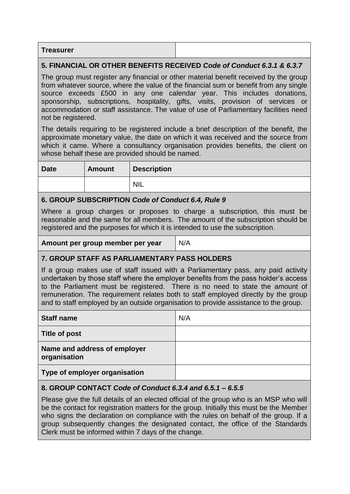| <b>Treasurer</b> |  |
|------------------|--|
|------------------|--|

## **5. FINANCIAL OR OTHER BENEFITS RECEIVED** *Code of Conduct 6.3.1 & 6.3.7*

The group must register any financial or other material benefit received by the group from whatever source, where the value of the financial sum or benefit from any single source exceeds £500 in any one calendar year. This includes donations, sponsorship, subscriptions, hospitality, gifts, visits, provision of services or accommodation or staff assistance. The value of use of Parliamentary facilities need not be registered.

The details requiring to be registered include a brief description of the benefit, the approximate monetary value, the date on which it was received and the source from which it came. Where a consultancy organisation provides benefits, the client on whose behalf these are provided should be named.

| <b>Date</b> | <b>Amount</b> | <b>Description</b> |
|-------------|---------------|--------------------|
|             |               | <b>NIL</b>         |

#### **6. GROUP SUBSCRIPTION** *Code of Conduct 6.4, Rule 9*

Where a group charges or proposes to charge a subscription, this must be reasonable and the same for all members. The amount of the subscription should be registered and the purposes for which it is intended to use the subscription.

**Amount per group member per year** | N/A

**7. GROUP STAFF AS PARLIAMENTARY PASS HOLDERS**

If a group makes use of staff issued with a Parliamentary pass, any paid activity undertaken by those staff where the employer benefits from the pass holder's access to the Parliament must be registered. There is no need to state the amount of remuneration. The requirement relates both to staff employed directly by the group and to staff employed by an outside organisation to provide assistance to the group.

| <b>Staff name</b>                            | N/A |
|----------------------------------------------|-----|
| <b>Title of post</b>                         |     |
| Name and address of employer<br>organisation |     |
| Type of employer organisation                |     |

# **8. GROUP CONTACT** *Code of Conduct 6.3.4 and 6.5.1 – 6.5.5*

Please give the full details of an elected official of the group who is an MSP who will be the contact for registration matters for the group. Initially this must be the Member who signs the declaration on compliance with the rules on behalf of the group. If a group subsequently changes the designated contact, the office of the Standards Clerk must be informed within 7 days of the change.